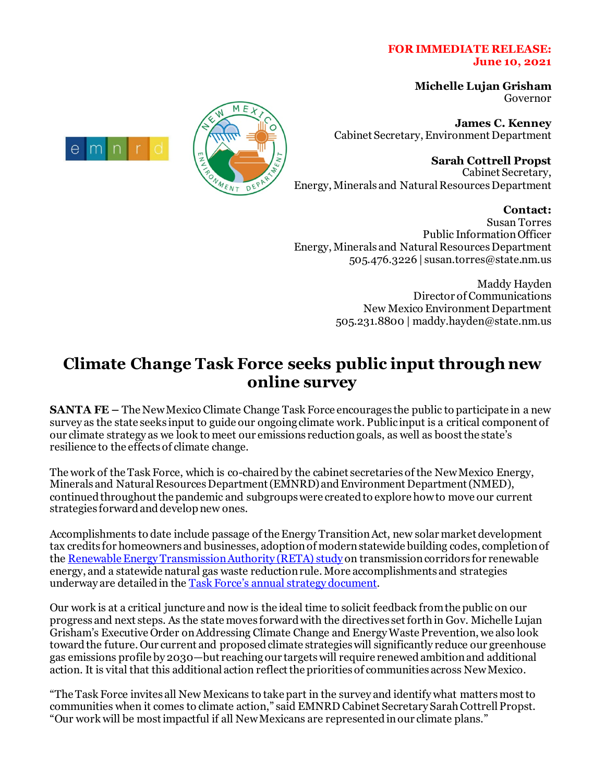## **FOR IMMEDIATE RELEASE: June 10, 2021**

**Michelle Lujan Grisham** Governor

**James C. Kenney** Cabinet Secretary, Environment Department

**Sarah Cottrell Propst** Cabinet Secretary, Energy, Minerals and Natural ResourcesDepartment

## **Contact:**

Susan Torres Public Information Officer Energy, Minerals and Natural Resources Department 505.476.3226 | susan.torres@state.nm.us

> Maddy Hayden Director of Communications New Mexico Environment Department 505.231.8800 | maddy.hayden@state.nm.us

## **Climate Change Task Force seeks public input throughnew online survey**

**SANTA FE –** The New Mexico Climate Change Task Force encourages the public to participate in a new survey as the state seeks input to guide our ongoing climate work. Public input is a critical component of our climate strategy as we look to meet our emissions reduction goals, as well as boost the state's resilience to the effects of climate change.

The work of the Task Force, which is co-chaired by the cabinet secretaries of the New Mexico Energy, Minerals and Natural Resources Department (EMNRD) and Environment Department (NMED), continued throughout the pandemic and subgroups were created to explore how to move our current strategies forwardand develop new ones.

Accomplishments to date include passage of the Energy Transition Act, new solar market development tax credits for homeowners and businesses, adoption of modern statewide building codes, completion of th[e Renewable Energy Transmission Authority \(RETA\)](https://nmreta.com/nm-reta-transmission-study/) study on transmission corridors for renewable energy, and a statewide natural gas waste reductionrule. More accomplishments and strategies underway are detailed in the [Task Force's annual strategy document.](https://www.climateaction.state.nm.us/documents/reports/NMClimateChangeReport_2020.pdf)

Our work is at a critical juncture and now is the ideal time to solicit feedback from the public on our progress and next steps. As the state moves forward with the directives set forth in Gov. Michelle Lujan Grisham's Executive Order on Addressing Climate Change and Energy Waste Prevention, we also look toward the future. Our current and proposed climate strategies will significantly reduce our greenhouse gas emissions profile by 2030—but reaching our targets will require renewed ambition and additional action. It is vital that this additional action reflect the priorities of communities across New Mexico.

"The Task Force invites all New Mexicans to take part in the survey and identify what matters most to communities when it comes to climate action," said EMNRD Cabinet Secretary Sarah Cottrell Propst. "Our work will be most impactful if all New Mexicans are represented in our climate plans."